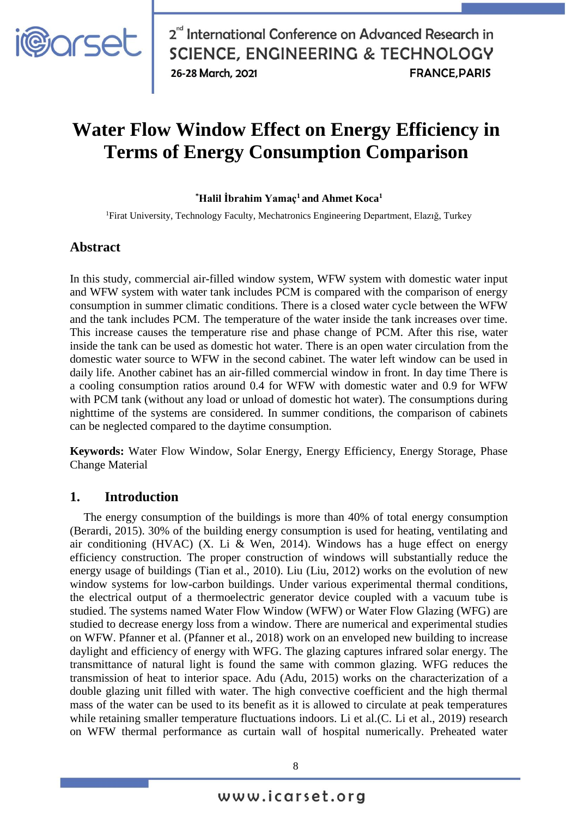

# **Water Flow Window Effect on Energy Efficiency in Terms of Energy Consumption Comparison**

#### **\*Halil İbrahim Yamaç<sup>1</sup> and Ahmet Koca<sup>1</sup>**

<sup>1</sup>Firat University, Technology Faculty, Mechatronics Engineering Department, Elazığ, Turkey

#### **Abstract**

In this study, commercial air-filled window system, WFW system with domestic water input and WFW system with water tank includes PCM is compared with the comparison of energy consumption in summer climatic conditions. There is a closed water cycle between the WFW and the tank includes PCM. The temperature of the water inside the tank increases over time. This increase causes the temperature rise and phase change of PCM. After this rise, water inside the tank can be used as domestic hot water. There is an open water circulation from the domestic water source to WFW in the second cabinet. The water left window can be used in daily life. Another cabinet has an air-filled commercial window in front. In day time There is a cooling consumption ratios around 0.4 for WFW with domestic water and 0.9 for WFW with PCM tank (without any load or unload of domestic hot water). The consumptions during nighttime of the systems are considered. In summer conditions, the comparison of cabinets can be neglected compared to the daytime consumption.

**Keywords:** Water Flow Window, Solar Energy, Energy Efficiency, Energy Storage, Phase Change Material

#### **1. Introduction**

The energy consumption of the buildings is more than 40% of total energy consumption (Berardi, 2015). 30% of the building energy consumption is used for heating, ventilating and air conditioning (HVAC) (X. Li & Wen, 2014). Windows has a huge effect on energy efficiency construction. The proper construction of windows will substantially reduce the energy usage of buildings (Tian et al., 2010). Liu (Liu, 2012) works on the evolution of new window systems for low-carbon buildings. Under various experimental thermal conditions, the electrical output of a thermoelectric generator device coupled with a vacuum tube is studied. The systems named Water Flow Window (WFW) or Water Flow Glazing (WFG) are studied to decrease energy loss from a window. There are numerical and experimental studies on WFW. Pfanner et al. (Pfanner et al., 2018) work on an enveloped new building to increase daylight and efficiency of energy with WFG. The glazing captures infrared solar energy. The transmittance of natural light is found the same with common glazing. WFG reduces the transmission of heat to interior space. Adu (Adu, 2015) works on the characterization of a double glazing unit filled with water. The high convective coefficient and the high thermal mass of the water can be used to its benefit as it is allowed to circulate at peak temperatures while retaining smaller temperature fluctuations indoors. Li et al.(C. Li et al., 2019) research on WFW thermal performance as curtain wall of hospital numerically. Preheated water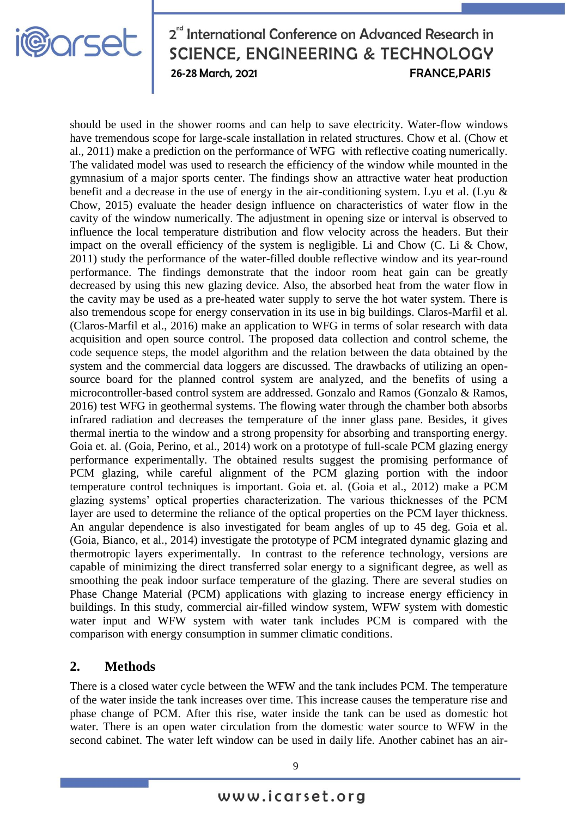

should be used in the shower rooms and can help to save electricity. Water-flow windows have tremendous scope for large-scale installation in related structures. Chow et al. (Chow et al., 2011) make a prediction on the performance of WFG with reflective coating numerically. The validated model was used to research the efficiency of the window while mounted in the gymnasium of a major sports center. The findings show an attractive water heat production benefit and a decrease in the use of energy in the air-conditioning system. Lyu et al. (Lyu & Chow, 2015) evaluate the header design influence on characteristics of water flow in the cavity of the window numerically. The adjustment in opening size or interval is observed to influence the local temperature distribution and flow velocity across the headers. But their impact on the overall efficiency of the system is negligible. Li and Chow  $(C, Li & Chow,$ 2011) study the performance of the water-filled double reflective window and its year-round performance. The findings demonstrate that the indoor room heat gain can be greatly decreased by using this new glazing device. Also, the absorbed heat from the water flow in the cavity may be used as a pre-heated water supply to serve the hot water system. There is also tremendous scope for energy conservation in its use in big buildings. Claros-Marfil et al. (Claros-Marfil et al., 2016) make an application to WFG in terms of solar research with data acquisition and open source control. The proposed data collection and control scheme, the code sequence steps, the model algorithm and the relation between the data obtained by the system and the commercial data loggers are discussed. The drawbacks of utilizing an opensource board for the planned control system are analyzed, and the benefits of using a microcontroller-based control system are addressed. Gonzalo and Ramos (Gonzalo & Ramos, 2016) test WFG in geothermal systems. The flowing water through the chamber both absorbs infrared radiation and decreases the temperature of the inner glass pane. Besides, it gives thermal inertia to the window and a strong propensity for absorbing and transporting energy. Goia et. al. (Goia, Perino, et al., 2014) work on a prototype of full-scale PCM glazing energy performance experimentally. The obtained results suggest the promising performance of PCM glazing, while careful alignment of the PCM glazing portion with the indoor temperature control techniques is important. Goia et. al. (Goia et al., 2012) make a PCM glazing systems' optical properties characterization. The various thicknesses of the PCM layer are used to determine the reliance of the optical properties on the PCM layer thickness. An angular dependence is also investigated for beam angles of up to 45 deg. Goia et al. (Goia, Bianco, et al., 2014) investigate the prototype of PCM integrated dynamic glazing and thermotropic layers experimentally. In contrast to the reference technology, versions are capable of minimizing the direct transferred solar energy to a significant degree, as well as smoothing the peak indoor surface temperature of the glazing. There are several studies on Phase Change Material (PCM) applications with glazing to increase energy efficiency in buildings. In this study, commercial air-filled window system, WFW system with domestic water input and WFW system with water tank includes PCM is compared with the comparison with energy consumption in summer climatic conditions.

# **2. Methods**

There is a closed water cycle between the WFW and the tank includes PCM. The temperature of the water inside the tank increases over time. This increase causes the temperature rise and phase change of PCM. After this rise, water inside the tank can be used as domestic hot water. There is an open water circulation from the domestic water source to WFW in the second cabinet. The water left window can be used in daily life. Another cabinet has an air-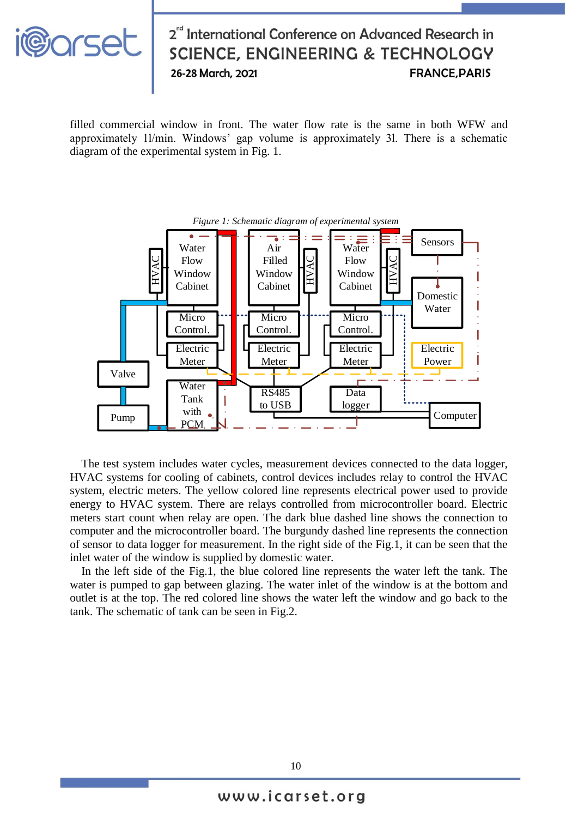

filled commercial window in front. The water flow rate is the same in both WFW and approximately 1l/min. Windows' gap volume is approximately 3l. There is a schematic diagram of the experimental system in Fig. 1.



The test system includes water cycles, measurement devices connected to the data logger, HVAC systems for cooling of cabinets, control devices includes relay to control the HVAC system, electric meters. The yellow colored line represents electrical power used to provide energy to HVAC system. There are relays controlled from microcontroller board. Electric meters start count when relay are open. The dark blue dashed line shows the connection to computer and the microcontroller board. The burgundy dashed line represents the connection of sensor to data logger for measurement. In the right side of the Fig.1, it can be seen that the inlet water of the window is supplied by domestic water.

In the left side of the Fig.1, the blue colored line represents the water left the tank. The water is pumped to gap between glazing. The water inlet of the window is at the bottom and outlet is at the top. The red colored line shows the water left the window and go back to the tank. The schematic of tank can be seen in Fig.2.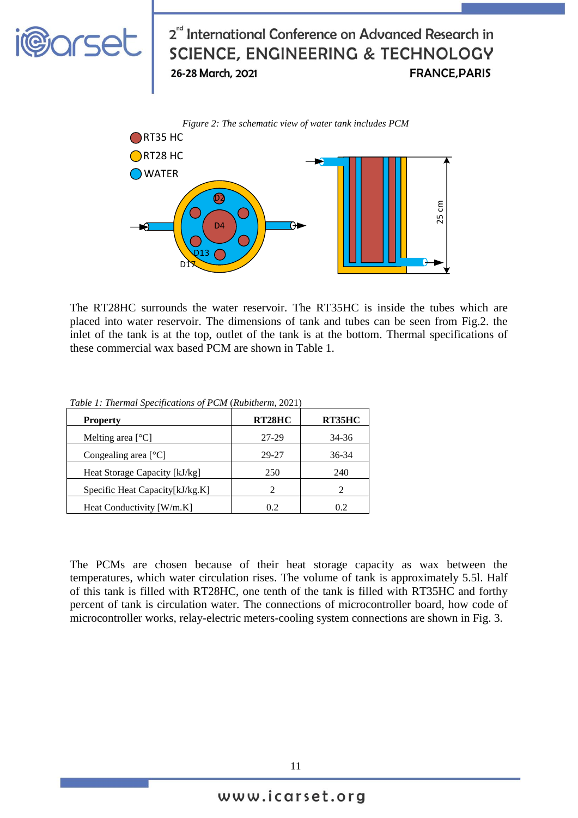

The RT28HC surrounds the water reservoir. The RT35HC is inside the tubes which are placed into water reservoir. The dimensions of tank and tubes can be seen from Fig.2. the inlet of the tank is at the top, outlet of the tank is at the bottom. Thermal specifications of these commercial wax based PCM are shown in Table 1.

| <b>Property</b>                 | RT28HC | RT35HC |
|---------------------------------|--------|--------|
| Melting area $[°C]$             | 27-29  | 34-36  |
| Congealing area $[°C]$          | 29-27  | 36-34  |
| Heat Storage Capacity [kJ/kg]   | 250    | 240    |
| Specific Heat Capacity[kJ/kg.K] |        |        |
| Heat Conductivity [W/m.K]       | 0.2    | 0.2    |

*Table 1: Thermal Specifications of PCM* (*Rubitherm*, 2021)

The PCMs are chosen because of their heat storage capacity as wax between the temperatures, which water circulation rises. The volume of tank is approximately 5.5l. Half of this tank is filled with RT28HC, one tenth of the tank is filled with RT35HC and forthy percent of tank is circulation water. The connections of microcontroller board, how code of microcontroller works, relay-electric meters-cooling system connections are shown in Fig. 3.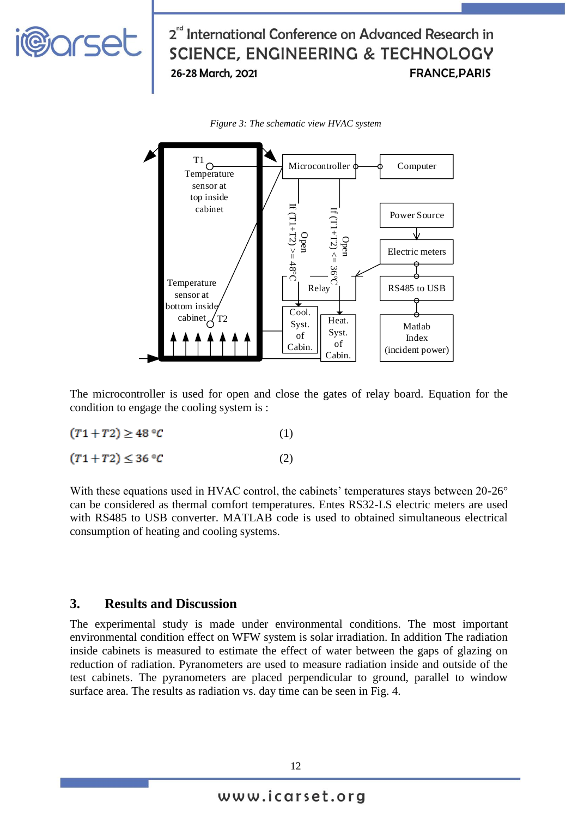



The microcontroller is used for open and close the gates of relay board. Equation for the condition to engage the cooling system is :

$$
(T1 + T2) \ge 48 \,^{\circ}C \tag{1}
$$

 $(T1+T2) \leq 36 °C$ (2)

With these equations used in HVAC control, the cabinets' temperatures stays between 20-26° can be considered as thermal comfort temperatures. Entes RS32-LS electric meters are used with RS485 to USB converter. MATLAB code is used to obtained simultaneous electrical consumption of heating and cooling systems.

#### **3. Results and Discussion**

The experimental study is made under environmental conditions. The most important environmental condition effect on WFW system is solar irradiation. In addition The radiation inside cabinets is measured to estimate the effect of water between the gaps of glazing on reduction of radiation. Pyranometers are used to measure radiation inside and outside of the test cabinets. The pyranometers are placed perpendicular to ground, parallel to window surface area. The results as radiation vs. day time can be seen in Fig. 4.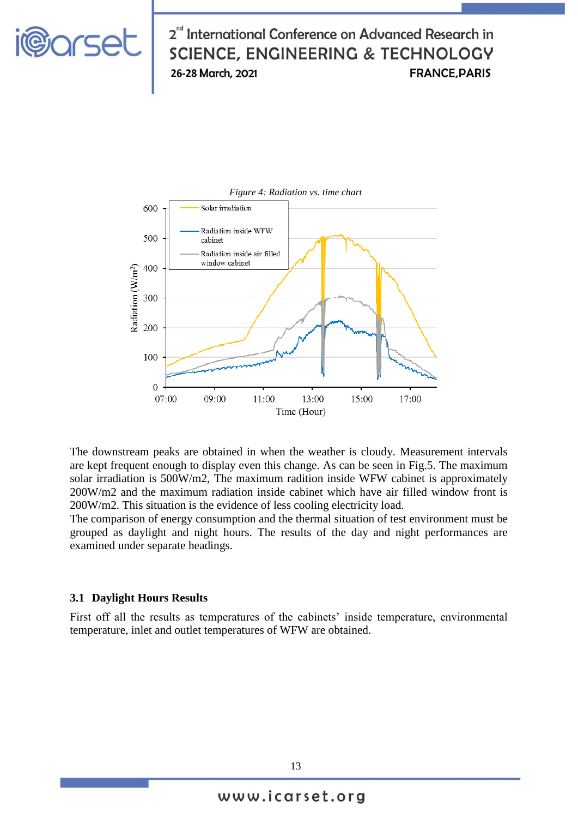



The downstream peaks are obtained in when the weather is cloudy. Measurement intervals are kept frequent enough to display even this change. As can be seen in Fig.5. The maximum solar irradiation is 500W/m2, The maximum radition inside WFW cabinet is approximately 200W/m2 and the maximum radiation inside cabinet which have air filled window front is 200W/m2. This situation is the evidence of less cooling electricity load.

The comparison of energy consumption and the thermal situation of test environment must be grouped as daylight and night hours. The results of the day and night performances are examined under separate headings.

#### **3.1 Daylight Hours Results**

First off all the results as temperatures of the cabinets' inside temperature, environmental temperature, inlet and outlet temperatures of WFW are obtained.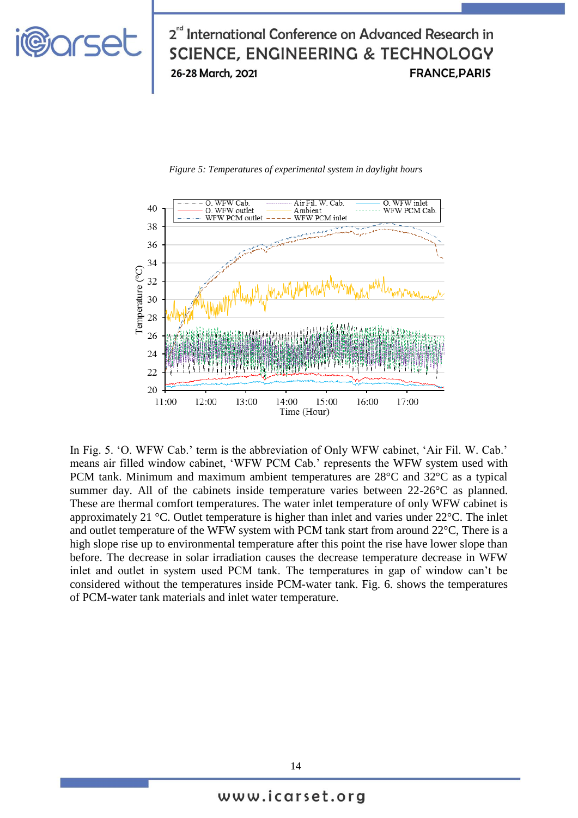# <u>i@arset</u>

# 2<sup>nd</sup> International Conference on Advanced Research in **SCIENCE, ENGINEERING & TECHNOLOGY FRANCE, PARIS** 26-28 March, 2021



*Figure 5: Temperatures of experimental system in daylight hours*

In Fig. 5. 'O. WFW Cab.' term is the abbreviation of Only WFW cabinet, 'Air Fil. W. Cab.' means air filled window cabinet, 'WFW PCM Cab.' represents the WFW system used with PCM tank. Minimum and maximum ambient temperatures are 28°C and 32°C as a typical summer day. All of the cabinets inside temperature varies between 22-26°C as planned. These are thermal comfort temperatures. The water inlet temperature of only WFW cabinet is approximately 21 °C. Outlet temperature is higher than inlet and varies under 22°C. The inlet and outlet temperature of the WFW system with PCM tank start from around 22°C, There is a high slope rise up to environmental temperature after this point the rise have lower slope than before. The decrease in solar irradiation causes the decrease temperature decrease in WFW inlet and outlet in system used PCM tank. The temperatures in gap of window can't be considered without the temperatures inside PCM-water tank. Fig. 6. shows the temperatures of PCM-water tank materials and inlet water temperature.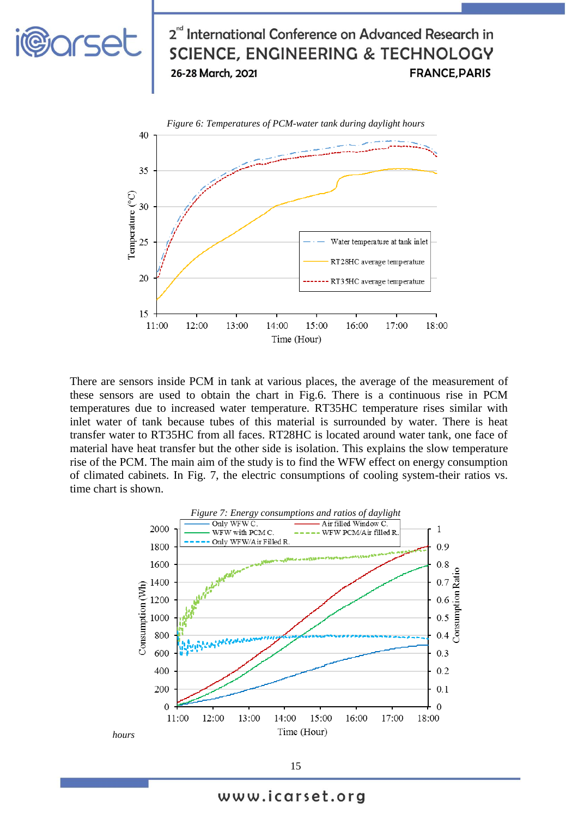



**i@orset** 

There are sensors inside PCM in tank at various places, the average of the measurement of these sensors are used to obtain the chart in Fig.6. There is a continuous rise in PCM temperatures due to increased water temperature. RT35HC temperature rises similar with inlet water of tank because tubes of this material is surrounded by water. There is heat transfer water to RT35HC from all faces. RT28HC is located around water tank, one face of material have heat transfer but the other side is isolation. This explains the slow temperature rise of the PCM. The main aim of the study is to find the WFW effect on energy consumption of climated cabinets. In Fig. 7, the electric consumptions of cooling system-their ratios vs. time chart is shown.



15

www.icarset.org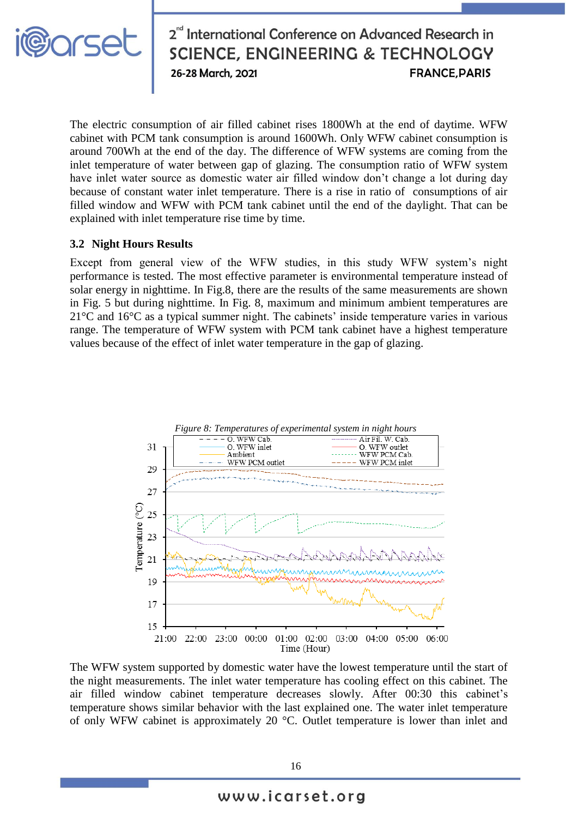

The electric consumption of air filled cabinet rises 1800Wh at the end of daytime. WFW cabinet with PCM tank consumption is around 1600Wh. Only WFW cabinet consumption is around 700Wh at the end of the day. The difference of WFW systems are coming from the inlet temperature of water between gap of glazing. The consumption ratio of WFW system have inlet water source as domestic water air filled window don't change a lot during day because of constant water inlet temperature. There is a rise in ratio of consumptions of air filled window and WFW with PCM tank cabinet until the end of the daylight. That can be explained with inlet temperature rise time by time.

#### **3.2 Night Hours Results**

Except from general view of the WFW studies, in this study WFW system's night performance is tested. The most effective parameter is environmental temperature instead of solar energy in nighttime. In Fig.8, there are the results of the same measurements are shown in Fig. 5 but during nighttime. In Fig. 8, maximum and minimum ambient temperatures are 21°C and 16°C as a typical summer night. The cabinets' inside temperature varies in various range. The temperature of WFW system with PCM tank cabinet have a highest temperature values because of the effect of inlet water temperature in the gap of glazing.



The WFW system supported by domestic water have the lowest temperature until the start of the night measurements. The inlet water temperature has cooling effect on this cabinet. The air filled window cabinet temperature decreases slowly. After 00:30 this cabinet's temperature shows similar behavior with the last explained one. The water inlet temperature of only WFW cabinet is approximately 20 °C. Outlet temperature is lower than inlet and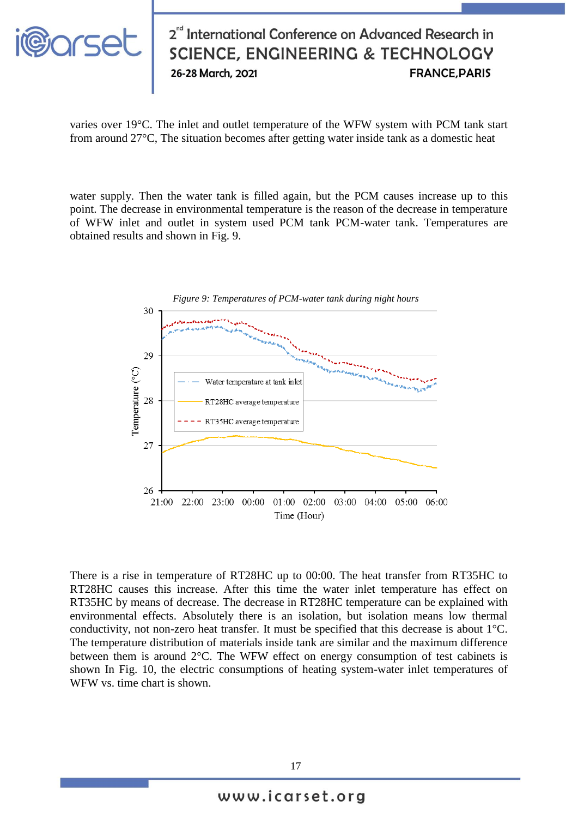

varies over 19°C. The inlet and outlet temperature of the WFW system with PCM tank start from around 27°C, The situation becomes after getting water inside tank as a domestic heat

water supply. Then the water tank is filled again, but the PCM causes increase up to this point. The decrease in environmental temperature is the reason of the decrease in temperature of WFW inlet and outlet in system used PCM tank PCM-water tank. Temperatures are obtained results and shown in Fig. 9.



There is a rise in temperature of RT28HC up to 00:00. The heat transfer from RT35HC to RT28HC causes this increase. After this time the water inlet temperature has effect on RT35HC by means of decrease. The decrease in RT28HC temperature can be explained with environmental effects. Absolutely there is an isolation, but isolation means low thermal conductivity, not non-zero heat transfer. It must be specified that this decrease is about 1°C. The temperature distribution of materials inside tank are similar and the maximum difference between them is around 2°C. The WFW effect on energy consumption of test cabinets is shown In Fig. 10, the electric consumptions of heating system-water inlet temperatures of WFW vs. time chart is shown.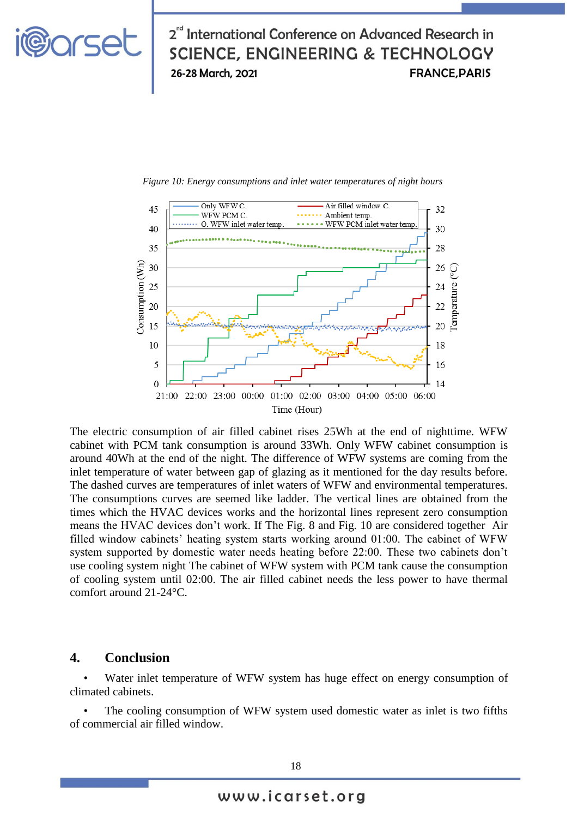





The electric consumption of air filled cabinet rises 25Wh at the end of nighttime. WFW cabinet with PCM tank consumption is around 33Wh. Only WFW cabinet consumption is around 40Wh at the end of the night. The difference of WFW systems are coming from the inlet temperature of water between gap of glazing as it mentioned for the day results before. The dashed curves are temperatures of inlet waters of WFW and environmental temperatures. The consumptions curves are seemed like ladder. The vertical lines are obtained from the times which the HVAC devices works and the horizontal lines represent zero consumption means the HVAC devices don't work. If The Fig. 8 and Fig. 10 are considered together Air filled window cabinets' heating system starts working around 01:00. The cabinet of WFW system supported by domestic water needs heating before 22:00. These two cabinets don't use cooling system night The cabinet of WFW system with PCM tank cause the consumption of cooling system until 02:00. The air filled cabinet needs the less power to have thermal comfort around 21-24°C.

#### **4. Conclusion**

Water inlet temperature of WFW system has huge effect on energy consumption of climated cabinets.

The cooling consumption of WFW system used domestic water as inlet is two fifths of commercial air filled window.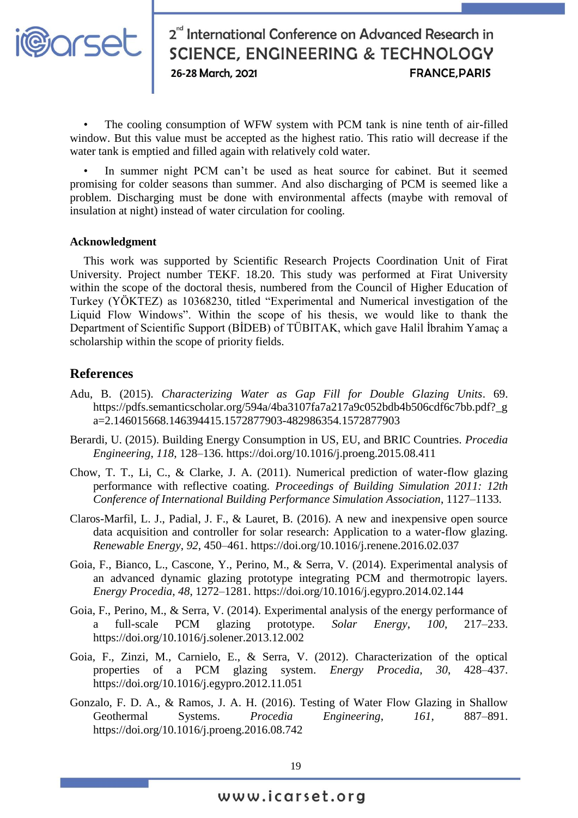

The cooling consumption of WFW system with PCM tank is nine tenth of air-filled window. But this value must be accepted as the highest ratio. This ratio will decrease if the water tank is emptied and filled again with relatively cold water.

In summer night PCM can't be used as heat source for cabinet. But it seemed promising for colder seasons than summer. And also discharging of PCM is seemed like a problem. Discharging must be done with environmental affects (maybe with removal of insulation at night) instead of water circulation for cooling.

#### **Acknowledgment**

This work was supported by Scientific Research Projects Coordination Unit of Firat University. Project number TEKF. 18.20. This study was performed at Firat University within the scope of the doctoral thesis, numbered from the Council of Higher Education of Turkey (YÖKTEZ) as 10368230, titled "Experimental and Numerical investigation of the Liquid Flow Windows". Within the scope of his thesis, we would like to thank the Department of Scientific Support (BİDEB) of TÜBITAK, which gave Halil İbrahim Yamaç a scholarship within the scope of priority fields.

#### **References**

- Adu, B. (2015). *Characterizing Water as Gap Fill for Double Glazing Units*. 69. https://pdfs.semanticscholar.org/594a/4ba3107fa7a217a9c052bdb4b506cdf6c7bb.pdf?\_g a=2.146015668.146394415.1572877903-482986354.1572877903
- Berardi, U. (2015). Building Energy Consumption in US, EU, and BRIC Countries. *Procedia Engineering*, *118*, 128–136. https://doi.org/10.1016/j.proeng.2015.08.411
- Chow, T. T., Li, C., & Clarke, J. A. (2011). Numerical prediction of water-flow glazing performance with reflective coating. *Proceedings of Building Simulation 2011: 12th Conference of International Building Performance Simulation Association*, 1127–1133.
- Claros-Marfil, L. J., Padial, J. F., & Lauret, B. (2016). A new and inexpensive open source data acquisition and controller for solar research: Application to a water-flow glazing. *Renewable Energy*, *92*, 450–461. https://doi.org/10.1016/j.renene.2016.02.037
- Goia, F., Bianco, L., Cascone, Y., Perino, M., & Serra, V. (2014). Experimental analysis of an advanced dynamic glazing prototype integrating PCM and thermotropic layers. *Energy Procedia*, *48*, 1272–1281. https://doi.org/10.1016/j.egypro.2014.02.144
- Goia, F., Perino, M., & Serra, V. (2014). Experimental analysis of the energy performance of a full-scale PCM glazing prototype. *Solar Energy*, *100*, 217–233. https://doi.org/10.1016/j.solener.2013.12.002
- Goia, F., Zinzi, M., Carnielo, E., & Serra, V. (2012). Characterization of the optical properties of a PCM glazing system. *Energy Procedia*, *30*, 428–437. https://doi.org/10.1016/j.egypro.2012.11.051
- Gonzalo, F. D. A., & Ramos, J. A. H. (2016). Testing of Water Flow Glazing in Shallow Geothermal Systems. *Procedia Engineering*, *161*, 887–891. https://doi.org/10.1016/j.proeng.2016.08.742